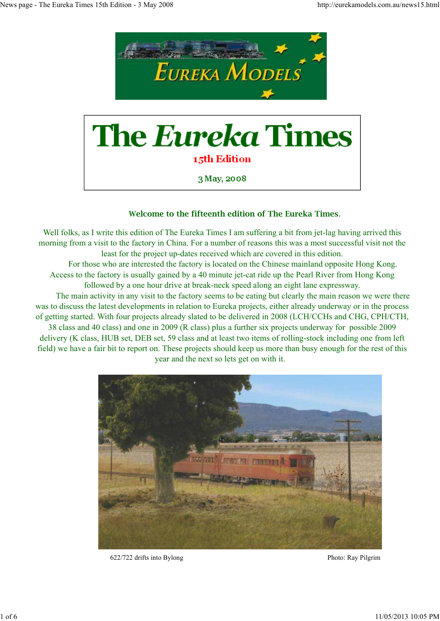

3 May, 2008

# **Welcome to the fifteenth edition of The Eureka Times**.

Well folks, as I write this edition of The Eureka Times I am suffering a bit from jet-lag having arrived this morning from a visit to the factory in China. For a number of reasons this was a most successful visit not the least for the project up-dates received which are covered in this edition.

 For those who are interested the factory is located on the Chinese mainland opposite Hong Kong. Access to the factory is usually gained by a 40 minute jet-cat ride up the Pearl River from Hong Kong followed by a one hour drive at break-neck speed along an eight lane expressway.

 The main activity in any visit to the factory seems to be eating but clearly the main reason we were there was to discuss the latest developments in relation to Eureka projects, either already underway or in the process of getting started. With four projects already slated to be delivered in 2008 (LCH/CCHs and CHG, CPH/CTH,

38 class and 40 class) and one in 2009 (R class) plus a further six projects underway for possible 2009 delivery (K class, HUB set, DEB set, 59 class and at least two items of rolling-stock including one from left field) we have a fair bit to report on. These projects should keep us more than busy enough for the rest of this year and the next so lets get on with it.



622/722 drifts into Bylong Photo: Ray Pilgrim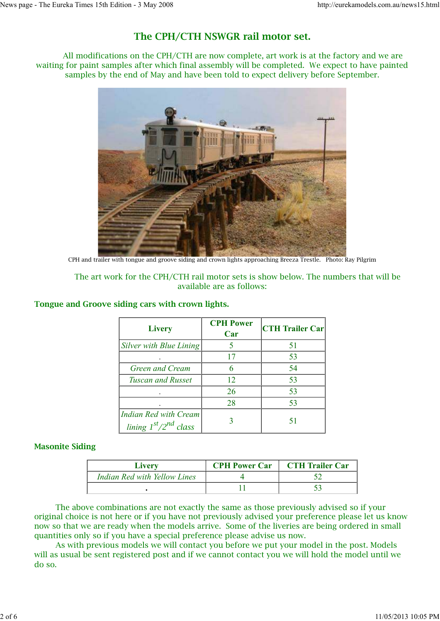# **The CPH/CTH NSWGR rail motor set.**

 All modifications on the CPH/CTH are now complete, art work is at the factory and we are waiting for paint samples after which final assembly will be completed. We expect to have painted samples by the end of May and have been told to expect delivery before September.



CPH and trailer with tongue and groove siding and crown lights approaching Breeza Trestle. Photo: Ray Pilgrim

### The art work for the CPH/CTH rail motor sets is show below. The numbers that will be available are as follows:

| <b>Livery</b>                                          | <b>CPH Power</b><br>Car | <b>CTH Trailer Car</b> |
|--------------------------------------------------------|-------------------------|------------------------|
| Silver with Blue Lining                                |                         | 51                     |
|                                                        |                         | 53                     |
| Green and Cream                                        |                         | 54                     |
| <b>Tuscan and Russet</b>                               | 12                      | 53                     |
|                                                        | 26                      | 53                     |
|                                                        | 28                      | 53                     |
| <b>Indian Red with Cream</b><br>lining $1st/2nd$ class |                         |                        |

### **Tongue and Groove siding cars with crown lights.**

### **Masonite Siding**

| Livery                       | <b>CPH Power Car</b> | <b>CTH Trailer Car</b> |
|------------------------------|----------------------|------------------------|
| Indian Red with Yellow Lines |                      |                        |
|                              |                      |                        |

 The above combinations are not exactly the same as those previously advised so if your original choice is not here or if you have not previously advised your preference please let us know now so that we are ready when the models arrive. Some of the liveries are being ordered in small quantities only so if you have a special preference please advise us now.

 As with previous models we will contact you before we put your model in the post. Models will as usual be sent registered post and if we cannot contact you we will hold the model until we do so.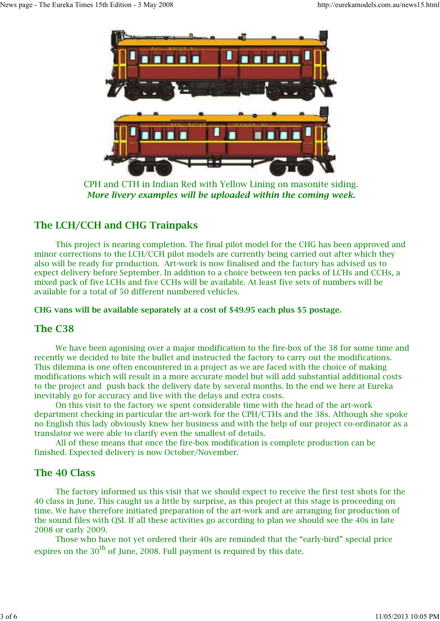

CPH and CTH in Indian Red with Yellow Lining on masonite siding. *More livery examples will be uploaded within the coming week.*

# **The LCH/CCH and CHG Trainpaks**

 This project is nearing completion. The final pilot model for the CHG has been approved and minor corrections to the LCH/CCH pilot models are currently being carried out after which they also will be ready for production. Art-work is now finalised and the factory has advised us to expect delivery before September. In addition to a choice between ten packs of LCHs and CCHs, a mixed pack of five LCHs and five CCHs will be available. At least five sets of numbers will be available for a total of 50 different numbered vehicles.

### **CHG vans will be available separately at a cost of \$49.95 each plus \$5 postage.**

### **The C38**

 We have been agonising over a major modification to the fire-box of the 38 for some time and recently we decided to bite the bullet and instructed the factory to carry out the modifications. This dilemma is one often encountered in a project as we are faced with the choice of making modifications which will result in a more accurate model but will add substantial additional costs to the project and push back the delivery date by several months. In the end we here at Eureka inevitably go for accuracy and live with the delays and extra costs.

 On this visit to the factory we spent considerable time with the head of the art-work department checking in particular the art-work for the CPH/CTHs and the 38s. Although she spoke no English this lady obviously knew her business and with the help of our project co-ordinator as a translator we were able to clarify even the smallest of details.

 All of these means that once the fire-box modification is complete production can be finished. Expected delivery is now October/November.

## **The 40 Class**

 The factory informed us this visit that we should expect to receive the first test shots for the 40 class in June. This caught us a little by surprise, as this project at this stage is proceeding on time. We have therefore initiated preparation of the art-work and are arranging for production of the sound files with QSI. If all these activities go according to plan we should see the 40s in late 2008 or early 2009.

 Those who have not yet ordered their 40s are reminded that the "early-bird" special price expires on the  $30<sup>th</sup>$  of June, 2008. Full payment is required by this date.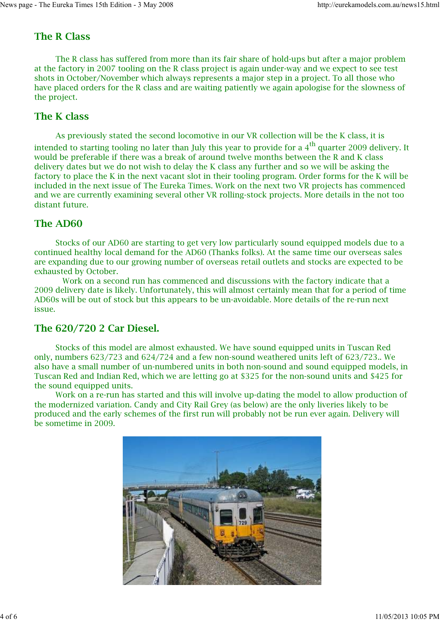# **The R Class**

The R class has suffered from more than its fair share of hold-ups but after a major problem at the factory in 2007 tooling on the R class project is again under-way and we expect to see test shots in October/November which always represents a major step in a project. To all those who have placed orders for the R class and are waiting patiently we again apologise for the slowness of the project.

# **The K class**

As previously stated the second locomotive in our VR collection will be the K class, it is intended to starting tooling no later than July this year to provide for a  $4<sup>th</sup>$  quarter 2009 delivery. It would be preferable if there was a break of around twelve months between the R and K class delivery dates but we do not wish to delay the K class any further and so we will be asking the factory to place the K in the next vacant slot in their tooling program. Order forms for the K will be included in the next issue of The Eureka Times. Work on the next two VR projects has commenced and we are currently examining several other VR rolling-stock projects. More details in the not too distant future.

# **The AD60**

 Stocks of our AD60 are starting to get very low particularly sound equipped models due to a continued healthy local demand for the AD60 (Thanks folks). At the same time our overseas sales are expanding due to our growing number of overseas retail outlets and stocks are expected to be exhausted by October.

 Work on a second run has commenced and discussions with the factory indicate that a 2009 delivery date is likely. Unfortunately, this will almost certainly mean that for a period of time AD60s will be out of stock but this appears to be un-avoidable. More details of the re-run next issue.

# **The 620/720 2 Car Diesel.**

 Stocks of this model are almost exhausted. We have sound equipped units in Tuscan Red only, numbers 623/723 and 624/724 and a few non-sound weathered units left of 623/723.. We also have a small number of un-numbered units in both non-sound and sound equipped models, in Tuscan Red and Indian Red, which we are letting go at \$325 for the non-sound units and \$425 for the sound equipped units.

 Work on a re-run has started and this will involve up-dating the model to allow production of the modernized variation. Candy and City Rail Grey (as below) are the only liveries likely to be produced and the early schemes of the first run will probably not be run ever again. Delivery will be sometime in 2009.

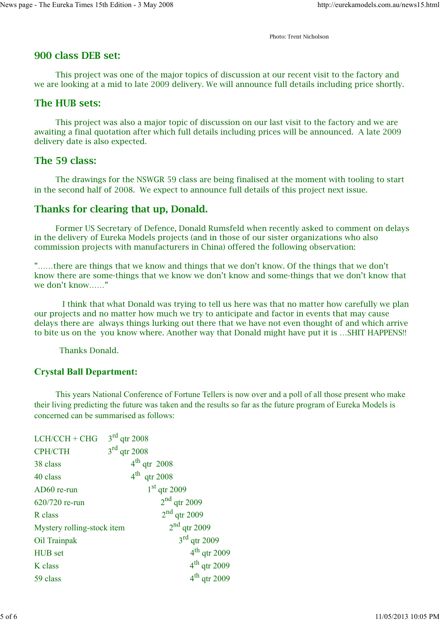Photo: Trent Nicholson

## **900 class DEB set:**

 This project was one of the major topics of discussion at our recent visit to the factory and we are looking at a mid to late 2009 delivery. We will announce full details including price shortly.

## **The HUB sets:**

 This project was also a major topic of discussion on our last visit to the factory and we are awaiting a final quotation after which full details including prices will be announced. A late 2009 delivery date is also expected.

## **The 59 class:**

 The drawings for the NSWGR 59 class are being finalised at the moment with tooling to start in the second half of 2008. We expect to announce full details of this project next issue.

## **Thanks for clearing that up, Donald.**

 Former US Secretary of Defence, Donald Rumsfeld when recently asked to comment on delays in the delivery of Eureka Models projects (and in those of our sister organizations who also commission projects with manufacturers in China) offered the following observation:

"……there are things that we know and things that we don't know. Of the things that we don't know there are some-things that we know we don't know and some-things that we don't know that we don't know……"

 I think that what Donald was trying to tell us here was that no matter how carefully we plan our projects and no matter how much we try to anticipate and factor in events that may cause delays there are always things lurking out there that we have not even thought of and which arrive to bite us on the you know where. Another way that Donald might have put it is …SHIT HAPPENS!!

Thanks Donald.

## **Crystal Ball Department:**

This years National Conference of Fortune Tellers is now over and a poll of all those present who make their living predicting the future was taken and the results so far as the future program of Eureka Models is concerned can be summarised as follows:

| $LCH/CCH + CHG$            | $3rd$ qtr 2008           |  |
|----------------------------|--------------------------|--|
| <b>CPH/CTH</b>             | $3rd$ qtr 2008           |  |
| 38 class                   | $4th$ qtr 2008           |  |
| 40 class                   | $4^{\text{th}}$ qtr 2008 |  |
| AD60 re-run                | $1st$ qtr 2009           |  |
| 620/720 re-run             | $2nd$ qtr 2009           |  |
| R class                    | $2nd$ qtr 2009           |  |
| Mystery rolling-stock item | $2nd$ qtr 2009           |  |
| Oil Trainpak               | $3rd$ qtr 2009           |  |
| HUB set                    | $4th$ qtr 2009           |  |
| K class                    | $4th$ qtr 2009           |  |
| 59 class                   | $4th$ qtr 2009           |  |
|                            |                          |  |